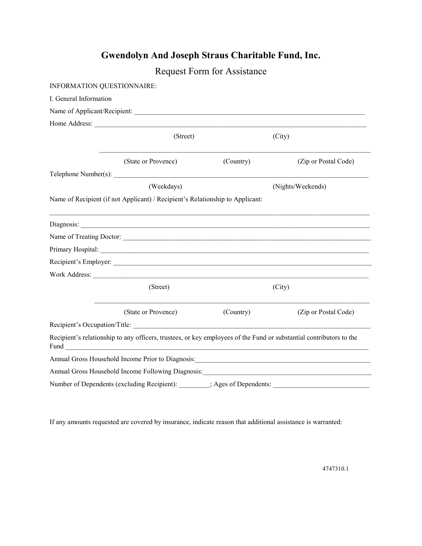## **Gwendolyn And Joseph Straus Charitable Fund, Inc.**

|                            |                                                                                                                                                                                                                                | <b>Request Form for Assistance</b> |                                                                |  |
|----------------------------|--------------------------------------------------------------------------------------------------------------------------------------------------------------------------------------------------------------------------------|------------------------------------|----------------------------------------------------------------|--|
| INFORMATION QUESTIONNAIRE: |                                                                                                                                                                                                                                |                                    |                                                                |  |
| I. General Information     |                                                                                                                                                                                                                                |                                    |                                                                |  |
|                            |                                                                                                                                                                                                                                |                                    |                                                                |  |
|                            |                                                                                                                                                                                                                                |                                    |                                                                |  |
|                            | (Street)                                                                                                                                                                                                                       | (City)                             |                                                                |  |
|                            | (State or Provence)                                                                                                                                                                                                            | (Country)                          | (Zip or Postal Code)                                           |  |
|                            | Telephone Number(s):                                                                                                                                                                                                           |                                    |                                                                |  |
|                            | (Weekdays)                                                                                                                                                                                                                     |                                    | (Nights/Weekends)                                              |  |
|                            | Name of Recipient (if not Applicant) / Recipient's Relationship to Applicant:                                                                                                                                                  |                                    |                                                                |  |
|                            |                                                                                                                                                                                                                                |                                    |                                                                |  |
|                            |                                                                                                                                                                                                                                |                                    |                                                                |  |
|                            |                                                                                                                                                                                                                                |                                    |                                                                |  |
|                            | Recipient's Employer:                                                                                                                                                                                                          |                                    |                                                                |  |
|                            | Work Address: When the Material States and the Material States and the Material States and the Material States and States and States and States and States and States and States and States and States and States and States a |                                    |                                                                |  |
|                            | (Street)                                                                                                                                                                                                                       |                                    | (City)                                                         |  |
|                            | (State or Provence)                                                                                                                                                                                                            | (Country)                          | (Zip or Postal Code)                                           |  |
|                            |                                                                                                                                                                                                                                |                                    |                                                                |  |
| Fund                       | Recipient's relationship to any officers, trustees, or key employees of the Fund or substantial contributors to the<br><u> 1980 - Johann Barbara, martin amerikan ba</u>                                                       |                                    |                                                                |  |
|                            | Annual Gross Household Income Prior to Diagnosis:                                                                                                                                                                              |                                    | <u> 2000 - Jan Barnett, mars et al. 1980 - Anna anno 1980.</u> |  |
|                            | Annual Gross Household Income Following Diagnosis: Manual Annual Annual Annual Annual Annual Annual Annual Ann                                                                                                                 |                                    |                                                                |  |
|                            | Number of Dependents (excluding Recipient): ________; Ages of Dependents:                                                                                                                                                      |                                    |                                                                |  |

If any amounts requested are covered by insurance, indicate reason that additional assistance is warranted:

4747310.1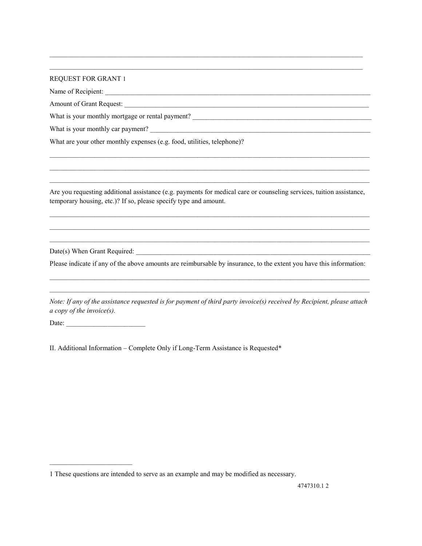## REQUEST FOR GRANT 1

Name of Recipient:

Amount of Grant Request:

What is your monthly mortgage or rental payment?

What is your monthly car payment?

What are your other monthly expenses (e.g. food, utilities, telephone)?

Are you requesting additional assistance (e.g. payments for medical care or counseling services, tuition assistance, temporary housing, etc.)? If so, please specify type and amount.

 $\mathcal{L}_\mathcal{L} = \{ \mathcal{L}_\mathcal{L} = \{ \mathcal{L}_\mathcal{L} = \{ \mathcal{L}_\mathcal{L} = \{ \mathcal{L}_\mathcal{L} = \{ \mathcal{L}_\mathcal{L} = \{ \mathcal{L}_\mathcal{L} = \{ \mathcal{L}_\mathcal{L} = \{ \mathcal{L}_\mathcal{L} = \{ \mathcal{L}_\mathcal{L} = \{ \mathcal{L}_\mathcal{L} = \{ \mathcal{L}_\mathcal{L} = \{ \mathcal{L}_\mathcal{L} = \{ \mathcal{L}_\mathcal{L} = \{ \mathcal{L}_\mathcal{$  $\mathcal{L}_\mathcal{L} = \{ \mathcal{L}_\mathcal{L} = \{ \mathcal{L}_\mathcal{L} = \{ \mathcal{L}_\mathcal{L} = \{ \mathcal{L}_\mathcal{L} = \{ \mathcal{L}_\mathcal{L} = \{ \mathcal{L}_\mathcal{L} = \{ \mathcal{L}_\mathcal{L} = \{ \mathcal{L}_\mathcal{L} = \{ \mathcal{L}_\mathcal{L} = \{ \mathcal{L}_\mathcal{L} = \{ \mathcal{L}_\mathcal{L} = \{ \mathcal{L}_\mathcal{L} = \{ \mathcal{L}_\mathcal{L} = \{ \mathcal{L}_\mathcal{$  $\mathcal{L}_\mathcal{L} = \{ \mathcal{L}_\mathcal{L} = \{ \mathcal{L}_\mathcal{L} = \{ \mathcal{L}_\mathcal{L} = \{ \mathcal{L}_\mathcal{L} = \{ \mathcal{L}_\mathcal{L} = \{ \mathcal{L}_\mathcal{L} = \{ \mathcal{L}_\mathcal{L} = \{ \mathcal{L}_\mathcal{L} = \{ \mathcal{L}_\mathcal{L} = \{ \mathcal{L}_\mathcal{L} = \{ \mathcal{L}_\mathcal{L} = \{ \mathcal{L}_\mathcal{L} = \{ \mathcal{L}_\mathcal{L} = \{ \mathcal{L}_\mathcal{$ 

 $\mathcal{L}_\mathcal{L} = \{ \mathcal{L}_\mathcal{L} = \{ \mathcal{L}_\mathcal{L} = \{ \mathcal{L}_\mathcal{L} = \{ \mathcal{L}_\mathcal{L} = \{ \mathcal{L}_\mathcal{L} = \{ \mathcal{L}_\mathcal{L} = \{ \mathcal{L}_\mathcal{L} = \{ \mathcal{L}_\mathcal{L} = \{ \mathcal{L}_\mathcal{L} = \{ \mathcal{L}_\mathcal{L} = \{ \mathcal{L}_\mathcal{L} = \{ \mathcal{L}_\mathcal{L} = \{ \mathcal{L}_\mathcal{L} = \{ \mathcal{L}_\mathcal{$ \_\_\_\_\_\_\_\_\_\_\_\_\_\_\_\_\_\_\_\_\_\_\_\_\_\_\_\_\_\_\_\_\_\_\_\_\_\_\_\_\_\_\_\_\_\_\_\_\_\_\_\_\_\_\_\_\_\_\_\_\_\_\_\_\_\_\_\_\_\_\_\_\_\_\_\_\_\_\_\_\_\_\_\_\_\_\_\_\_\_\_\_\_  $\mathcal{L}_\mathcal{L} = \{ \mathcal{L}_\mathcal{L} = \{ \mathcal{L}_\mathcal{L} = \{ \mathcal{L}_\mathcal{L} = \{ \mathcal{L}_\mathcal{L} = \{ \mathcal{L}_\mathcal{L} = \{ \mathcal{L}_\mathcal{L} = \{ \mathcal{L}_\mathcal{L} = \{ \mathcal{L}_\mathcal{L} = \{ \mathcal{L}_\mathcal{L} = \{ \mathcal{L}_\mathcal{L} = \{ \mathcal{L}_\mathcal{L} = \{ \mathcal{L}_\mathcal{L} = \{ \mathcal{L}_\mathcal{L} = \{ \mathcal{L}_\mathcal{$ 

 $\mathcal{L}_\mathcal{L} = \{ \mathcal{L}_\mathcal{L} = \{ \mathcal{L}_\mathcal{L} = \{ \mathcal{L}_\mathcal{L} = \{ \mathcal{L}_\mathcal{L} = \{ \mathcal{L}_\mathcal{L} = \{ \mathcal{L}_\mathcal{L} = \{ \mathcal{L}_\mathcal{L} = \{ \mathcal{L}_\mathcal{L} = \{ \mathcal{L}_\mathcal{L} = \{ \mathcal{L}_\mathcal{L} = \{ \mathcal{L}_\mathcal{L} = \{ \mathcal{L}_\mathcal{L} = \{ \mathcal{L}_\mathcal{L} = \{ \mathcal{L}_\mathcal{$  $\mathcal{L}_\mathcal{L} = \mathcal{L}_\mathcal{L} = \mathcal{L}_\mathcal{L} = \mathcal{L}_\mathcal{L} = \mathcal{L}_\mathcal{L} = \mathcal{L}_\mathcal{L} = \mathcal{L}_\mathcal{L} = \mathcal{L}_\mathcal{L} = \mathcal{L}_\mathcal{L} = \mathcal{L}_\mathcal{L} = \mathcal{L}_\mathcal{L} = \mathcal{L}_\mathcal{L} = \mathcal{L}_\mathcal{L} = \mathcal{L}_\mathcal{L} = \mathcal{L}_\mathcal{L} = \mathcal{L}_\mathcal{L} = \mathcal{L}_\mathcal{L}$ 

Date(s) When Grant Required:

Please indicate if any of the above amounts are reimbursable by insurance, to the extent you have this information:

 $\mathcal{L}_\mathcal{L} = \{ \mathcal{L}_\mathcal{L} = \{ \mathcal{L}_\mathcal{L} = \{ \mathcal{L}_\mathcal{L} = \{ \mathcal{L}_\mathcal{L} = \{ \mathcal{L}_\mathcal{L} = \{ \mathcal{L}_\mathcal{L} = \{ \mathcal{L}_\mathcal{L} = \{ \mathcal{L}_\mathcal{L} = \{ \mathcal{L}_\mathcal{L} = \{ \mathcal{L}_\mathcal{L} = \{ \mathcal{L}_\mathcal{L} = \{ \mathcal{L}_\mathcal{L} = \{ \mathcal{L}_\mathcal{L} = \{ \mathcal{L}_\mathcal{$  $\mathcal{L}_\mathcal{L} = \{ \mathcal{L}_\mathcal{L} = \{ \mathcal{L}_\mathcal{L} = \{ \mathcal{L}_\mathcal{L} = \{ \mathcal{L}_\mathcal{L} = \{ \mathcal{L}_\mathcal{L} = \{ \mathcal{L}_\mathcal{L} = \{ \mathcal{L}_\mathcal{L} = \{ \mathcal{L}_\mathcal{L} = \{ \mathcal{L}_\mathcal{L} = \{ \mathcal{L}_\mathcal{L} = \{ \mathcal{L}_\mathcal{L} = \{ \mathcal{L}_\mathcal{L} = \{ \mathcal{L}_\mathcal{L} = \{ \mathcal{L}_\mathcal{$ 

*Note: If any of the assistance requested is for payment of third party invoice(s) received by Recipient, please attach a copy of the invoice(s).* 

Date:

 $\overline{\phantom{a}}$  , and the set of the set of the set of the set of the set of the set of the set of the set of the set of the set of the set of the set of the set of the set of the set of the set of the set of the set of the s

II. Additional Information – Complete Only if Long-Term Assistance is Requested\*

<sup>1</sup> These questions are intended to serve as an example and may be modified as necessary.